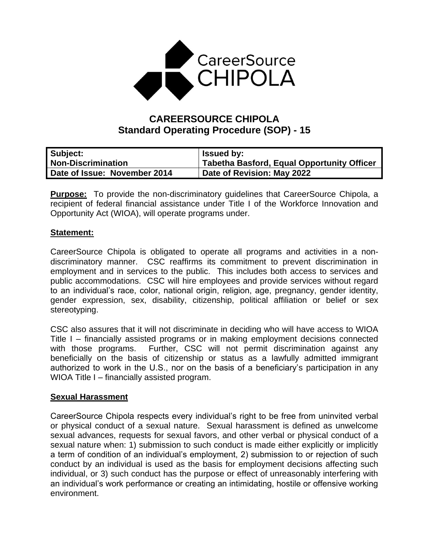

# **CAREERSOURCE CHIPOLA Standard Operating Procedure (SOP) - 15**

| Subject:                     | <b>Issued by:</b>                                 |
|------------------------------|---------------------------------------------------|
| <b>Non-Discrimination</b>    | <b>Tabetha Basford, Equal Opportunity Officer</b> |
| Date of Issue: November 2014 | Date of Revision: May 2022                        |

**Purpose:** To provide the non-discriminatory guidelines that CareerSource Chipola, a recipient of federal financial assistance under Title I of the Workforce Innovation and Opportunity Act (WIOA), will operate programs under.

### **Statement:**

CareerSource Chipola is obligated to operate all programs and activities in a nondiscriminatory manner. CSC reaffirms its commitment to prevent discrimination in employment and in services to the public. This includes both access to services and public accommodations. CSC will hire employees and provide services without regard to an individual's race, color, national origin, religion, age, pregnancy, gender identity, gender expression, sex, disability, citizenship, political affiliation or belief or sex stereotyping.

CSC also assures that it will not discriminate in deciding who will have access to WIOA Title I – financially assisted programs or in making employment decisions connected with those programs. Further, CSC will not permit discrimination against any beneficially on the basis of citizenship or status as a lawfully admitted immigrant authorized to work in the U.S., nor on the basis of a beneficiary's participation in any WIOA Title I – financially assisted program.

### **Sexual Harassment**

CareerSource Chipola respects every individual's right to be free from uninvited verbal or physical conduct of a sexual nature. Sexual harassment is defined as unwelcome sexual advances, requests for sexual favors, and other verbal or physical conduct of a sexual nature when: 1) submission to such conduct is made either explicitly or implicitly a term of condition of an individual's employment, 2) submission to or rejection of such conduct by an individual is used as the basis for employment decisions affecting such individual, or 3) such conduct has the purpose or effect of unreasonably interfering with an individual's work performance or creating an intimidating, hostile or offensive working environment.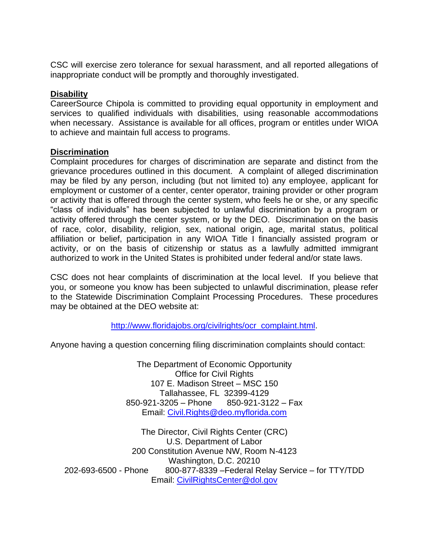CSC will exercise zero tolerance for sexual harassment, and all reported allegations of inappropriate conduct will be promptly and thoroughly investigated.

## **Disability**

CareerSource Chipola is committed to providing equal opportunity in employment and services to qualified individuals with disabilities, using reasonable accommodations when necessary. Assistance is available for all offices, program or entitles under WIOA to achieve and maintain full access to programs.

### **Discrimination**

Complaint procedures for charges of discrimination are separate and distinct from the grievance procedures outlined in this document. A complaint of alleged discrimination may be filed by any person, including (but not limited to) any employee, applicant for employment or customer of a center, center operator, training provider or other program or activity that is offered through the center system, who feels he or she, or any specific "class of individuals" has been subjected to unlawful discrimination by a program or activity offered through the center system, or by the DEO. Discrimination on the basis of race, color, disability, religion, sex, national origin, age, marital status, political affiliation or belief, participation in any WIOA Title I financially assisted program or activity, or on the basis of citizenship or status as a lawfully admitted immigrant authorized to work in the United States is prohibited under federal and/or state laws.

CSC does not hear complaints of discrimination at the local level. If you believe that you, or someone you know has been subjected to unlawful discrimination, please refer to the Statewide Discrimination Complaint Processing Procedures. These procedures may be obtained at the DEO website at:

[http://www.floridajobs.org/civilrights/ocr\\_complaint.html.](http://www.floridajobs.org/civilrights/ocr_complaint.html)

Anyone having a question concerning filing discrimination complaints should contact:

The Department of Economic Opportunity Office for Civil Rights 107 E. Madison Street – MSC 150 Tallahassee, FL 32399-4129 850-921-3205 – Phone 850-921-3122 – Fax Email: [Civil.Rights@deo.myflorida.com](mailto:Civil.Rights@deo.myflorida.com)

The Director, Civil Rights Center (CRC) U.S. Department of Labor 200 Constitution Avenue NW, Room N-4123 Washington, D.C. 20210 202-693-6500 - Phone 800-877-8339 –Federal Relay Service – for TTY/TDD Email: [CivilRightsCenter@dol.gov](mailto:CivilRightsCenter@dol.gov)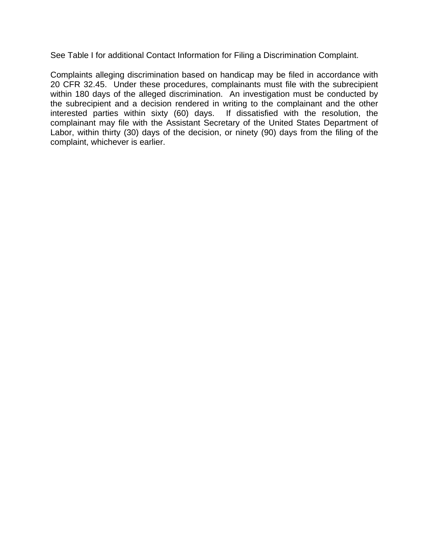See Table I for additional Contact Information for Filing a Discrimination Complaint.

Complaints alleging discrimination based on handicap may be filed in accordance with 20 CFR 32.45. Under these procedures, complainants must file with the subrecipient within 180 days of the alleged discrimination. An investigation must be conducted by the subrecipient and a decision rendered in writing to the complainant and the other interested parties within sixty (60) days. If dissatisfied with the resolution, the complainant may file with the Assistant Secretary of the United States Department of Labor, within thirty (30) days of the decision, or ninety (90) days from the filing of the complaint, whichever is earlier.